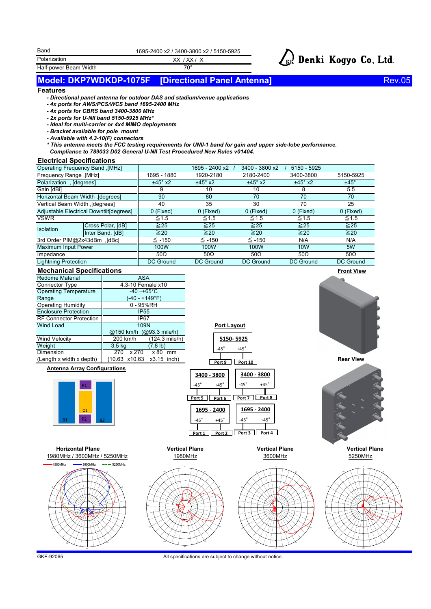| 1695-2400 x2 / 3400-3800 x2 / 5150-5925 |
|-----------------------------------------|
|-----------------------------------------|

XX / XX / X

Polarization Half-power Beam Width 70°



### **Model: DKP7WDKDP-1075F [Directional Panel Antenna]**

Rev.05

### **Features**

Band

- *Directional panel antenna for outdoor DAS and stadium/venue applications*
- *4x ports for AWS/PCS/WCS band 1695-2400 MHz*
- *4x ports for CBRS band 3400-3800 MHz*
- *2x ports for U-NII band 5150-5925 MHz\**
- *Ideal for multi-carrier or 4x4 MIMO deployments*
- *Bracket available for pole mount*
- *Available with 4.3-10(F) connectors*
- *\* This antenna meets the FCC testing requirements for UNII-1 band for gain and upper side-lobe performance.*
- *Compliance to 789033 D02 General U-NII Test Procedured New Rules v01404.*

#### **Electrical Specifications**

| Operating Frequency Band, [MHz]         |                   |                  | 1695 - 2400 x2   | 3400 - 3800 x2   | $5150 - 5925$    |                  |
|-----------------------------------------|-------------------|------------------|------------------|------------------|------------------|------------------|
| Frequency Range, [MHz]                  |                   | 1695 - 1880      | 1920-2180        | 2180-2400        | 3400-3800        | 5150-5925        |
| Polarization, [degrees]                 |                   | $±45^\circ$ x2   | $±45^\circ$ x2   | $±45^\circ$ x2   | $±45^\circ$ x2   | $±45^\circ$      |
| Gain [dBi]                              |                   |                  | 10               | 10               |                  | 5.5              |
| Horizontal Beam Width , [degrees]       |                   | 90               | 80               | 70               | 70               | 70               |
| Vertical Beam Width , [degrees]         |                   | 40               | 35               | 30               | 70               | 25               |
| Adjustable Electrical Downtilt[degrees] |                   | 0 (Fixed)        | 0 (Fixed)        | 0 (Fixed)        | 0 (Fixed)        | 0 (Fixed)        |
| <b>VSWR</b>                             |                   | $\leq 1.5$       | $\leq 1.5$       | $\leq 1.5$       | $\leq 1.5$       | $\leq 1.5$       |
| <b>Isolation</b>                        | Cross Polar, [dB] | $\geq 25$        | $\geq$ 25        | $\geq 25$        | $\geq$ 25        | $\geq 25$        |
|                                         | Inter Band, [dB]  | $\geq 20$        | $\geq 20$        | $\geq 20$        | $\geq 20$        | $\geq 20$        |
| 3rd Order PIM@2x43dBm, [dBc]            |                   | ≦ -150           | $\leq$ -150      | $\leq$ -150      | N/A              | N/A              |
| Maximum Input Power                     |                   | 100W             | 100W             | 100W             | <b>10W</b>       | 5W               |
| Impedance                               |                   | $50\Omega$       | $50\Omega$       | 50 $\Omega$      | $50\Omega$       | $50\Omega$       |
| <b>Lightning Protection</b>             |                   | <b>DC Ground</b> | <b>DC Ground</b> | <b>DC Ground</b> | <b>DC Ground</b> | <b>DC Ground</b> |



### **Antenna Array Configurations**



**Horizontal Plane**

5

180゚

150゚



**Port Layout**

**5150- 5925**  $-45^\circ$  +45



30゚



1980MHz / 3600MHz / 5250MHz 1980MHz 1980MHz 3600MHz 5250MHz 15 20 25 60゚ 120゚  $-120$ -90゚ -60゚ -30゚ 10 15 20 25 60゚ -120゚ -60゚ -30゚

-150゚



15

5 10

-150゚

-30゚

 $-120$ 

-90゚

-60゚

180゚

15 20



GKE-92065

-90゚

-150゚

All specifications are subject to change without notice.

150゚